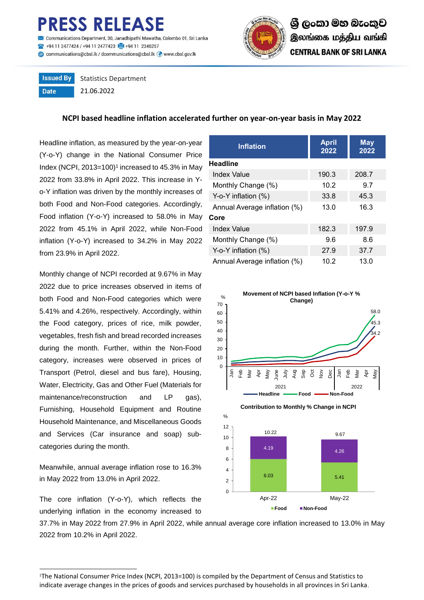## **ESS RELEASE**

munications Department, 30, Janadhipathi Mawatha, Colombo 01, Sri Lanka 494 11 2477424 / +94 11 2477423 +494 11 2346257 Communications@cbsl.lk / dcommunications@cbsl.lk <a>
www.cbsl.gov.lk</a>
k



**Issued By** Statistics Department **Date** 21.06.2022

## **NCPI based headline inflation accelerated further on year-on-year basis in May 2022**

Headline inflation, as measured by the year-on-year (Y-o-Y) change in the National Consumer Price Index (NCPI, 2013=100)<sup>1</sup> increased to 45.3% in May 2022 from 33.8% in April 2022. This increase in Yo-Y inflation was driven by the monthly increases of both Food and Non-Food categories. Accordingly, Food inflation (Y-o-Y) increased to 58.0% in May 2022 from 45.1% in April 2022, while Non-Food inflation (Y-o-Y) increased to 34.2% in May 2022 from 23.9% in April 2022.

Monthly change of NCPI recorded at 9.67% in May 2022 due to price increases observed in items of both Food and Non-Food categories which were 5.41% and 4.26%, respectively. Accordingly, within the Food category, prices of rice, milk powder, vegetables, fresh fish and bread recorded increases during the month. Further, within the Non-Food category, increases were observed in prices of Transport (Petrol, diesel and bus fare), Housing, Water, Electricity, Gas and Other Fuel (Materials for maintenance/reconstruction and LP gas), Furnishing, Household Equipment and Routine Household Maintenance, and Miscellaneous Goods and Services (Car insurance and soap) subcategories during the month.

Meanwhile, annual average inflation rose to 16.3% in May 2022 from 13.0% in April 2022.

The core inflation (Y-o-Y), which reflects the underlying inflation in the economy increased to

 $\overline{a}$ 

| <b>Inflation</b>             | <b>April</b><br>2022 | <b>May</b><br>2022 |  |
|------------------------------|----------------------|--------------------|--|
| Headline                     |                      |                    |  |
| Index Value                  | 190.3                | 208.7              |  |
| Monthly Change (%)           | 10.2                 | 9.7                |  |
| Y-o-Y inflation $(\%)$       | 33.8                 | 45.3               |  |
| Annual Average inflation (%) | 13.0                 | 16.3               |  |
| Core                         |                      |                    |  |
| Index Value                  | 182.3                | 197.9              |  |
| Monthly Change (%)           | 9.6                  | 8.6                |  |
| Y-o-Y inflation $(\%)$       | 27.9                 | 37.7               |  |
| Annual Average inflation (%) | 10.2                 | 13.0               |  |





37.7% in May 2022 from 27.9% in April 2022, while annual average core inflation increased to 13.0% in May 2022 from 10.2% in April 2022.

<sup>1</sup>The National Consumer Price Index (NCPI, 2013=100) is compiled by the Department of Census and Statistics to indicate average changes in the prices of goods and services purchased by households in all provinces in Sri Lanka.